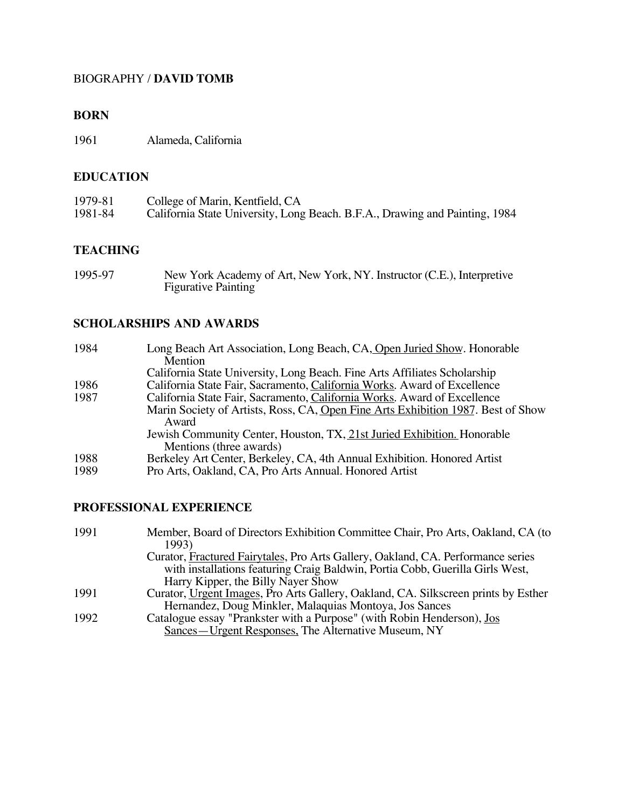#### BIOGRAPHY / **DAVID TOMB**

#### **BORN**

1961 Alameda, California

#### **EDUCATION**

| 1979-81 | College of Marin, Kentfield, CA                                             |
|---------|-----------------------------------------------------------------------------|
| 1981-84 | California State University, Long Beach. B.F.A., Drawing and Painting, 1984 |

#### **TEACHING**

| 1995-97 | New York Academy of Art, New York, NY. Instructor (C.E.), Interpretive |
|---------|------------------------------------------------------------------------|
|         | <b>Figurative Painting</b>                                             |

#### **SCHOLARSHIPS AND AWARDS**

| 1984 | Long Beach Art Association, Long Beach, CA, Open Juried Show. Honorable                   |
|------|-------------------------------------------------------------------------------------------|
|      | Mention                                                                                   |
|      | California State University, Long Beach. Fine Arts Affiliates Scholarship                 |
| 1986 | California State Fair, Sacramento, California Works. Award of Excellence                  |
| 1987 | California State Fair, Sacramento, California Works. Award of Excellence                  |
|      | Marin Society of Artists, Ross, CA, Open Fine Arts Exhibition 1987. Best of Show<br>Award |
|      | Jewish Community Center, Houston, TX, 21st Juried Exhibition. Honorable                   |
|      | Mentions (three awards)                                                                   |
| 1988 | Berkeley Art Center, Berkeley, CA, 4th Annual Exhibition. Honored Artist                  |
| 1989 | Pro Arts, Oakland, CA, Pro Arts Annual. Honored Artist                                    |
|      |                                                                                           |

## **PROFESSIONAL EXPERIENCE**

| 1991 | Member, Board of Directors Exhibition Committee Chair, Pro Arts, Oakland, CA (to   |
|------|------------------------------------------------------------------------------------|
|      | 1993)                                                                              |
|      | Curator, Fractured Fairytales, Pro Arts Gallery, Oakland, CA. Performance series   |
|      | with installations featuring Craig Baldwin, Portia Cobb, Guerilla Girls West,      |
|      | Harry Kipper, the Billy Nayer Show                                                 |
| 1991 | Curator, Urgent Images, Pro Arts Gallery, Oakland, CA. Silkscreen prints by Esther |
|      | Hernandez, Doug Minkler, Malaquias Montoya, Jos Sances                             |
| 1992 | Catalogue essay "Prankster with a Purpose" (with Robin Henderson), Jos             |
|      | Sances—Urgent Responses, The Alternative Museum, NY                                |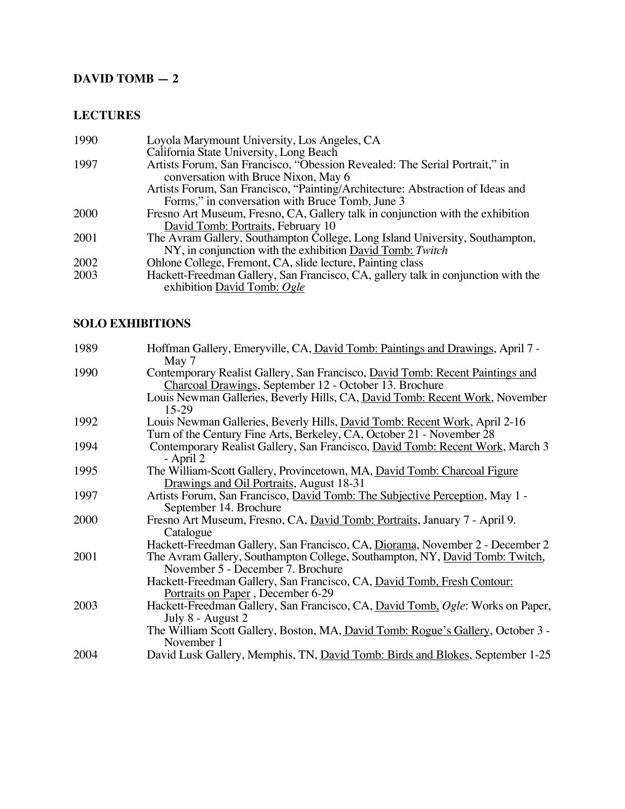## **DAVID TOMB — 2**

## **LECTURES**

| 1990 | Loyola Marymount University, Los Angeles, CA                                      |
|------|-----------------------------------------------------------------------------------|
|      | California State University, Long Beach                                           |
| 1997 | Artists Forum, San Francisco, "Obession Revealed: The Serial Portrait," in        |
|      | conversation with Bruce Nixon, May 6                                              |
|      | Artists Forum, San Francisco, "Painting/Architecture: Abstraction of Ideas and    |
|      | Forms," in conversation with Bruce Tomb, June 3                                   |
| 2000 | Fresno Art Museum, Fresno, CA, Gallery talk in conjunction with the exhibition    |
|      | David Tomb: Portraits, February 10                                                |
| 2001 | The Avram Gallery, Southampton College, Long Island University, Southampton,      |
|      | NY, in conjunction with the exhibition David Tomb: Twitch                         |
| 2002 | Ohlone College, Fremont, CA, slide lecture, Painting class                        |
| 2003 | Hackett-Freedman Gallery, San Francisco, CA, gallery talk in conjunction with the |
|      | exhibition David Tomb: Ogle                                                       |

### **SOLO EXHIBITIONS**

| 1989 | Hoffman Gallery, Emeryville, CA, David Tomb: Paintings and Drawings, April 7 -<br>May 7 |
|------|-----------------------------------------------------------------------------------------|
| 1990 | Contemporary Realist Gallery, San Francisco, David Tomb: Recent Paintings and           |
|      | Charcoal Drawings, September 12 - October 13. Brochure                                  |
|      | Louis Newman Galleries, Beverly Hills, CA, David Tomb: Recent Work, November<br>15-29   |
| 1992 | Louis Newman Galleries, Beverly Hills, David Tomb: Recent Work, April 2-16              |
|      | Turn of the Century Fine Arts, Berkeley, CA, October 21 - November 28                   |
| 1994 | Contemporary Realist Gallery, San Francisco, David Tomb: Recent Work, March 3           |
|      | - April 2                                                                               |
| 1995 | The William-Scott Gallery, Provincetown, MA, David Tomb: Charcoal Figure                |
|      | Drawings and Oil Portraits, August 18-31                                                |
| 1997 | Artists Forum, San Francisco, David Tomb: The Subjective Perception, May 1 -            |
|      | September 14. Brochure                                                                  |
| 2000 | Fresno Art Museum, Fresno, CA, David Tomb: Portraits, January 7 - April 9.              |
|      | Catalogue                                                                               |
|      | Hackett-Freedman Gallery, San Francisco, CA, Diorama, November 2 - December 2           |
| 2001 | The Avram Gallery, Southampton College, Southampton, NY, David Tomb: Twitch,            |
|      | November 5 - December 7. Brochure                                                       |
|      | Hackett-Freedman Gallery, San Francisco, CA, David Tomb, Fresh Contour:                 |
|      | Portraits on Paper, December 6-29                                                       |
| 2003 | Hackett-Freedman Gallery, San Francisco, CA, David Tomb, Ogle: Works on Paper,          |
|      | July 8 - August 2                                                                       |
|      | The William Scott Gallery, Boston, MA, David Tomb: Rogue's Gallery, October 3 -         |
|      | November 1                                                                              |
| 2004 | David Lusk Gallery, Memphis, TN, David Tomb: Birds and Blokes, September 1-25           |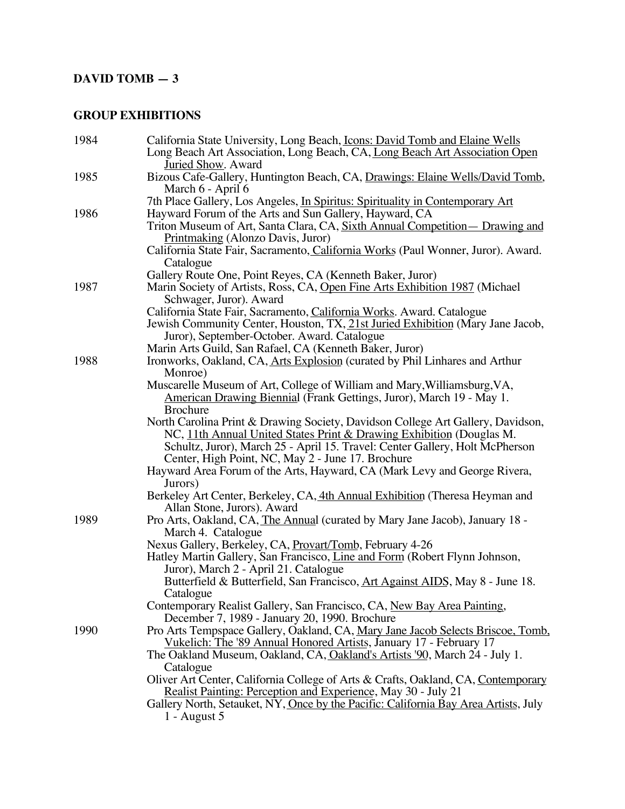# **DAVID TOMB — 3**

### **GROUP EXHIBITIONS**

| 1984 | California State University, Long Beach, <i>Icons: David Tomb and Elaine Wells</i>  |
|------|-------------------------------------------------------------------------------------|
|      | Long Beach Art Association, Long Beach, CA, Long Beach Art Association Open         |
|      | Juried Show. Award                                                                  |
| 1985 | Bizous Cafe-Gallery, Huntington Beach, CA, Drawings: Elaine Wells/David Tomb,       |
|      | March 6 - April 6                                                                   |
|      | 7th Place Gallery, Los Angeles, In Spiritus: Spirituality in Contemporary Art       |
| 1986 | Hayward Forum of the Arts and Sun Gallery, Hayward, CA                              |
|      | Triton Museum of Art, Santa Clara, CA, Sixth Annual Competition - Drawing and       |
|      | Printmaking (Alonzo Davis, Juror)                                                   |
|      | California State Fair, Sacramento, California Works (Paul Wonner, Juror). Award.    |
|      | Catalogue                                                                           |
|      | Gallery Route One, Point Reyes, CA (Kenneth Baker, Juror)                           |
| 1987 | Marin Society of Artists, Ross, CA, Open Fine Arts Exhibition 1987 (Michael         |
|      | Schwager, Juror). Award                                                             |
|      | California State Fair, Sacramento, California Works. Award. Catalogue               |
|      | Jewish Community Center, Houston, TX, 21st Juried Exhibition (Mary Jane Jacob,      |
|      | Juror), September-October. Award. Catalogue                                         |
|      | Marin Arts Guild, San Rafael, CA (Kenneth Baker, Juror)                             |
| 1988 | Ironworks, Oakland, CA, Arts Explosion (curated by Phil Linhares and Arthur         |
|      | Monroe)                                                                             |
|      | Muscarelle Museum of Art, College of William and Mary, Williamsburg, VA,            |
|      | American Drawing Biennial (Frank Gettings, Juror), March 19 - May 1.                |
|      | <b>Brochure</b>                                                                     |
|      | North Carolina Print & Drawing Society, Davidson College Art Gallery, Davidson,     |
|      | NC, 11th Annual United States Print & Drawing Exhibition (Douglas M.                |
|      | Schultz, Juror), March 25 - April 15. Travel: Center Gallery, Holt McPherson        |
|      | Center, High Point, NC, May 2 - June 17. Brochure                                   |
|      | Hayward Area Forum of the Arts, Hayward, CA (Mark Levy and George Rivera,           |
|      | Jurors)                                                                             |
|      | Berkeley Art Center, Berkeley, CA, 4th Annual Exhibition (Theresa Heyman and        |
|      | Allan Stone, Jurors). Award                                                         |
| 1989 | Pro Arts, Oakland, CA, The Annual (curated by Mary Jane Jacob), January 18 -        |
|      | March 4. Catalogue                                                                  |
|      | Nexus Gallery, Berkeley, CA, Provart/Tomb, February 4-26                            |
|      | Hatley Martin Gallery, San Francisco, Line and Form (Robert Flynn Johnson,          |
|      | Juror), March 2 - April 21. Catalogue                                               |
|      | Butterfield & Butterfield, San Francisco, Art Against AIDS, May 8 - June 18.        |
|      | Catalogue                                                                           |
|      | Contemporary Realist Gallery, San Francisco, CA, New Bay Area Painting,             |
|      | December 7, 1989 - January 20, 1990. Brochure                                       |
| 1990 | Pro Arts Tempspace Gallery, Oakland, CA, Mary Jane Jacob Selects Briscoe, Tomb,     |
|      | Vukelich: The '89 Annual Honored Artists, January 17 - February 17                  |
|      | The Oakland Museum, Oakland, CA, Oakland's Artists '90, March 24 - July 1.          |
|      | Catalogue                                                                           |
|      | Oliver Art Center, California College of Arts & Crafts, Oakland, CA, Contemporary   |
|      | Realist Painting: Perception and Experience, May 30 - July 21                       |
|      | Gallery North, Setauket, NY, Once by the Pacific: California Bay Area Artists, July |
|      | $1 -$ August 5                                                                      |
|      |                                                                                     |